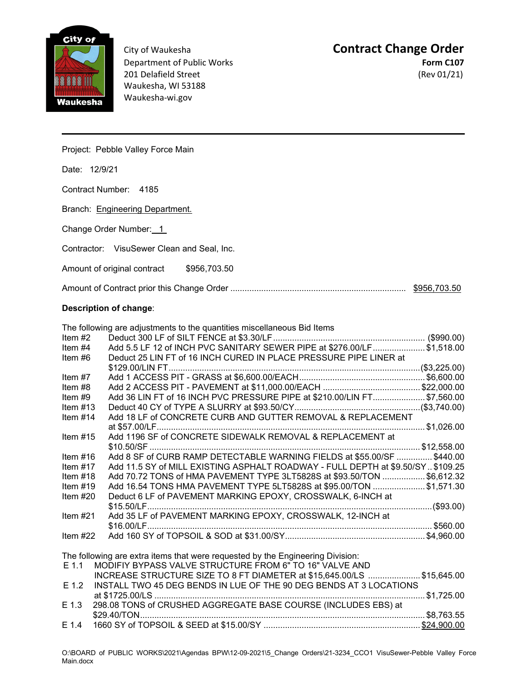

201 Delafield Street (Rev 01/21) Waukesha, WI 53188 Waukesha-wi.gov

## City of Waukesha **Contract Change Order Department of Public Works Form C107**

Project: Pebble Valley Force Main

Date: 12/9/21

Contract Number: 4185

Branch: Engineering Department.

Change Order Number: 1

Contractor: VisuSewer Clean and Seal, Inc.

Amount of original contract \$956,703.50

| \$956,703.50 |
|--------------|
|              |

## **Description of change**:

|            | The following are adjustments to the quantities miscellaneous Bid Items         |  |
|------------|---------------------------------------------------------------------------------|--|
| Item $#2$  |                                                                                 |  |
| Item $#4$  | Add 5.5 LF 12 of INCH PVC SANITARY SEWER PIPE at \$276.00/LF\$1,518.00          |  |
| Item $#6$  | Deduct 25 LIN FT of 16 INCH CURED IN PLACE PRESSURE PIPE LINER at               |  |
|            |                                                                                 |  |
| Item $#7$  |                                                                                 |  |
| Item $#8$  |                                                                                 |  |
| Item $#9$  | Add 36 LIN FT of 16 INCH PVC PRESSURE PIPE at \$210.00/LIN FT\$7,560.00         |  |
| Item $#13$ |                                                                                 |  |
| Item $#14$ | Add 18 LF of CONCRETE CURB AND GUTTER REMOVAL & REPLACEMENT                     |  |
|            |                                                                                 |  |
| Item $#15$ | Add 1196 SF of CONCRETE SIDEWALK REMOVAL & REPLACEMENT at                       |  |
|            |                                                                                 |  |
| Item $#16$ | Add 8 SF of CURB RAMP DETECTABLE WARNING FIELDS at \$55.00/SF  \$440.00         |  |
| Item $#17$ | Add 11.5 SY of MILL EXISTING ASPHALT ROADWAY - FULL DEPTH at \$9.50/SY \$109.25 |  |
| Item $#18$ | Add 70.72 TONS of HMA PAVEMENT TYPE 3LT5828S at \$93.50/TON \$6,612.32          |  |
| Item $#19$ | Add 16.54 TONS HMA PAVEMENT TYPE 5LT5828S at \$95.00/TON \$1,571.30             |  |
| Item $#20$ | Deduct 6 LF of PAVEMENT MARKING EPOXY, CROSSWALK, 6-INCH at                     |  |
|            |                                                                                 |  |
| Item $#21$ | Add 35 LF of PAVEMENT MARKING EPOXY, CROSSWALK, 12-INCH at                      |  |
|            |                                                                                 |  |
| Item $#22$ |                                                                                 |  |
|            |                                                                                 |  |
|            | The following are extra items that were requested by the Engineering Division:  |  |
| $E$ 1.1    | MODIFIY BYPASS VALVE STRUCTURE FROM 6" TO 16" VALVE AND                         |  |
|            | INCREASE STRUCTURE SIZE TO 8 FT DIAMETER at \$15,645.00/LS \$15,645.00          |  |
| $E$ 1.2    | INSTALL TWO 45 DEG BENDS IN LUE OF THE 90 DEG BENDS AT 3 LOCATIONS              |  |
|            |                                                                                 |  |
| $E$ 1.3    | 298.08 TONS of CRUSHED AGGREGATE BASE COURSE (INCLUDES EBS) at                  |  |
|            |                                                                                 |  |
| E 1.4      |                                                                                 |  |